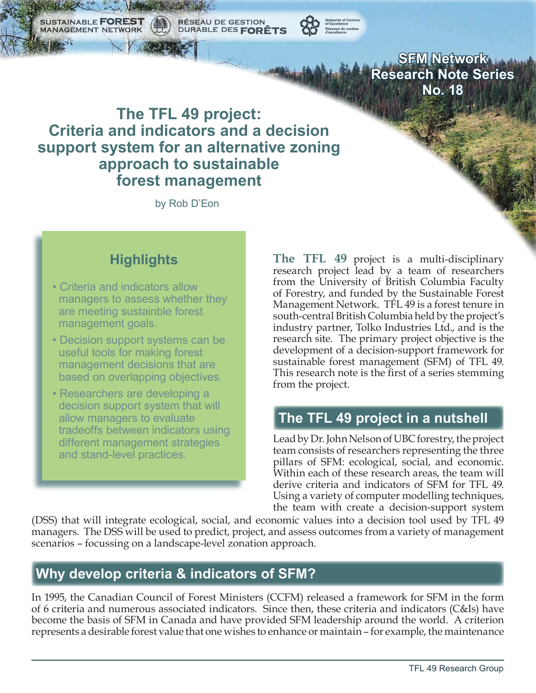**SFM Network Research Note Series No. 18**

## **The TFL 49 project: Criteria and indicators and a decision support system for an alternative zoning approach to sustainable forest management**

RÉSEAU DE GESTION<br>DURABLE DES **FORÊTS** 

by Rob D'Eon

# **Highlights**

SUSTAINABLE **FORE MANAGEMENT NETWORK** 

- Criteria and indicators allow managers to assess whether they are meeting sustainble forest management goals.
- Decision support systems can be useful tools for making forest management decisions that are based on overlapping objectives.
- Researchers are developing a decision support system that will allow managers to evaluate tradeoffs between indicators using different management strategies and stand-level practices.

**The TFL 49** project is a multi-disciplinary research project lead by a team of researchers from the University of British Columbia Faculty of Forestry, and funded by the Sustainable Forest Management Network. TFL 49 is a forest tenure in south-central British Columbia held by the project's industry partner, Tolko Industries Ltd., and is the research site. The primary project objective is the development of a decision-support framework for sustainable forest management (SFM) of TFL 49. This research note is the first of a series stemming from the project.

## **The TFL 49 project in a nutshell**

Lead by Dr. John Nelson of UBC forestry, the project team consists of researchers representing the three pillars of SFM: ecological, social, and economic. Within each of these research areas, the team will derive criteria and indicators of SFM for TFL 49. Using a variety of computer modelling techniques, the team with create a decision-support system

(DSS) that will integrate ecological, social, and economic values into a decision tool used by TFL 49 managers. The DSS will be used to predict, project, and assess outcomes from a variety of management scenarios – focussing on a landscape-level zonation approach.

## **Why develop criteria & indicators of SFM?**

In 1995, the Canadian Council of Forest Ministers (CCFM) released a framework for SFM in the form of 6 criteria and numerous associated indicators. Since then, these criteria and indicators (C&Is) have become the basis of SFM in Canada and have provided SFM leadership around the world. A criterion represents a desirable forest value that one wishes to enhance or maintain – for example, the maintenance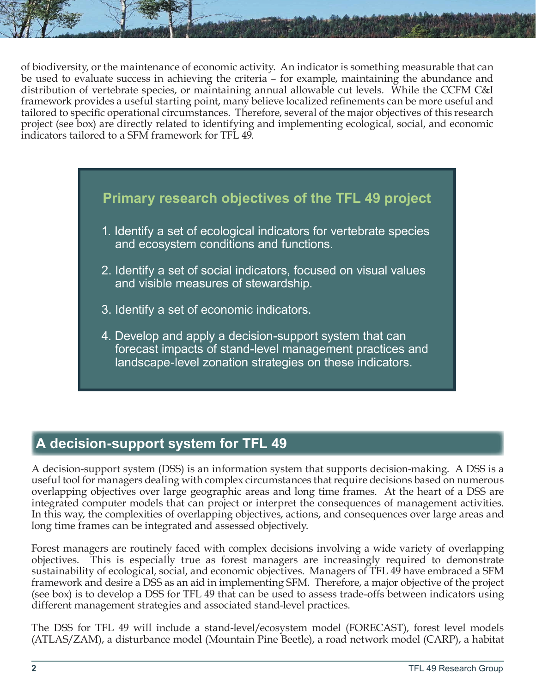of biodiversity, or the maintenance of economic activity. An indicator is something measurable that can be used to evaluate success in achieving the criteria – for example, maintaining the abundance and distribution of vertebrate species, or maintaining annual allowable cut levels. While the CCFM C&I framework provides a useful starting point, many believe localized refinements can be more useful and tailored to specific operational circumstances. Therefore, several of the major objectives of this research project (see box) are directly related to identifying and implementing ecological, social, and economic indicators tailored to a SFM framework for TFL 49.



## **A decision-support system for TFL 49**

A decision-support system (DSS) is an information system that supports decision-making. A DSS is a useful tool for managers dealing with complex circumstances that require decisions based on numerous overlapping objectives over large geographic areas and long time frames. At the heart of a DSS are integrated computer models that can project or interpret the consequences of management activities. In this way, the complexities of overlapping objectives, actions, and consequences over large areas and long time frames can be integrated and assessed objectively.

Forest managers are routinely faced with complex decisions involving a wide variety of overlapping objectives. This is especially true as forest managers are increasingly required to demonstrate sustainability of ecological, social, and economic objectives. Managers of TFL 49 have embraced a SFM framework and desire a DSS as an aid in implementing SFM. Therefore, a major objective of the project (see box) is to develop a DSS for TFL 49 that can be used to assess trade-offs between indicators using different management strategies and associated stand-level practices.

The DSS for TFL 49 will include a stand-level/ecosystem model (FORECAST), forest level models (ATLAS/ZAM), a disturbance model (Mountain Pine Beetle), a road network model (CARP), a habitat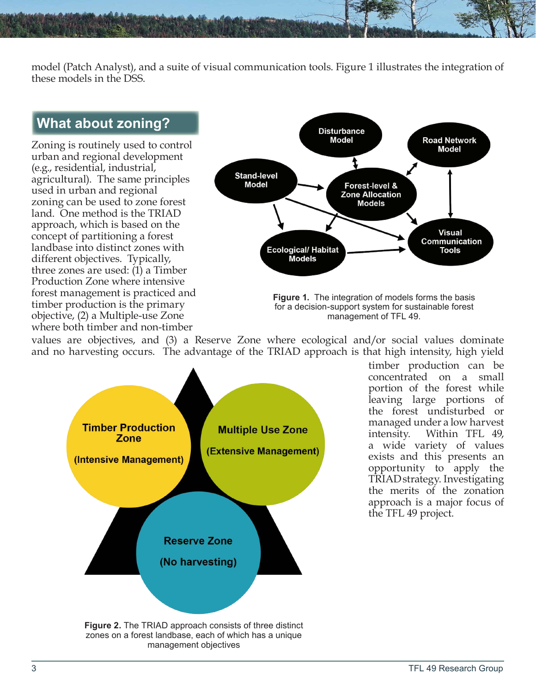model (Patch Analyst), and a suite of visual communication tools. Figure 1 illustrates the integration of these models in the DSS.

#### **What about zoning?**

Zoning is routinely used to control urban and regional development (e.g., residential, industrial, agricultural). The same principles used in urban and regional zoning can be used to zone forest land. One method is the TRIAD approach, which is based on the concept of partitioning a forest landbase into distinct zones with different objectives. Typically, three zones are used:  $(1)$  a Timber Production Zone where intensive forest management is practiced and timber production is the primary objective, (2) a Multiple-use Zone where both timber and non-timber



values are objectives, and (3) a Reserve Zone where ecological and/or social values dominate and no harvesting occurs. The advantage of the TRIAD approach is that high intensity, high yield



zones on a forest landbase, each of which has a unique management objectives

timber production can be concentrated on a small portion of the forest while leaving large portions of the forest undisturbed or managed under a low harvest intensity. Within TFL 49, a wide variety of values exists and this presents an opportunity to apply the TRIAD strategy. Investigating the merits of the zonation approach is a major focus of the TFL 49 project.